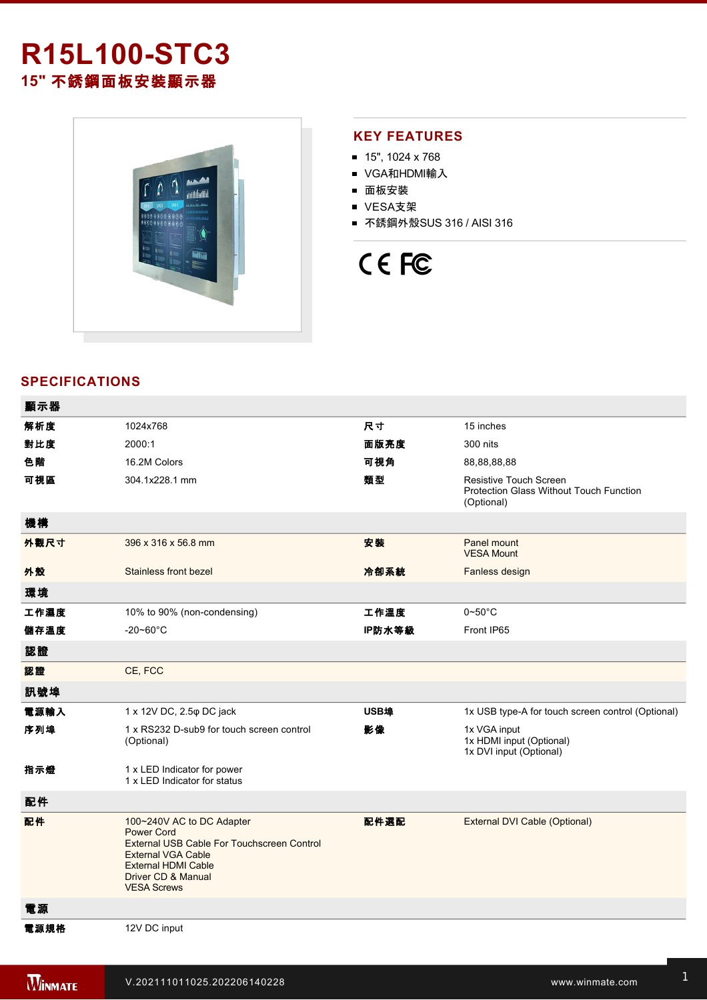## **R15L100-STC3 15"** 不銹鋼面板安裝顯示器



#### **KEY FEATURES**

- 15", 1024 x 768
- VGA和HDMI輸入
- 面板安裝
- VESA支架
- 不銹鋼外殼SUS 316 / AISI 316

# CE FC

#### **SPECIFICATIONS**

| 顯示器  |                                                                                                                                                                                                     |        |                                                                                        |
|------|-----------------------------------------------------------------------------------------------------------------------------------------------------------------------------------------------------|--------|----------------------------------------------------------------------------------------|
| 解析度  | 1024x768                                                                                                                                                                                            | 尺寸     | 15 inches                                                                              |
| 對比度  | 2000:1                                                                                                                                                                                              | 面版亮度   | 300 nits                                                                               |
| 色階   | 16.2M Colors                                                                                                                                                                                        | 可視角    | 88,88,88,88                                                                            |
| 可視區  | 304.1x228.1 mm                                                                                                                                                                                      | 類型     | <b>Resistive Touch Screen</b><br>Protection Glass Without Touch Function<br>(Optional) |
| 機構   |                                                                                                                                                                                                     |        |                                                                                        |
| 外觀尺寸 | 396 x 316 x 56.8 mm                                                                                                                                                                                 | 安装     | Panel mount<br><b>VESA Mount</b>                                                       |
| 外殼   | Stainless front bezel                                                                                                                                                                               | 冷卻系統   | Fanless design                                                                         |
| 環境   |                                                                                                                                                                                                     |        |                                                                                        |
| 工作濕度 | 10% to 90% (non-condensing)                                                                                                                                                                         | 工作溫度   | $0\negthinspace$ -50 $^{\circ}$ C                                                      |
| 儲存溫度 | $-20 - 60^{\circ}$ C                                                                                                                                                                                | IP防水等級 | Front IP65                                                                             |
| 認證   |                                                                                                                                                                                                     |        |                                                                                        |
| 認證   | CE, FCC                                                                                                                                                                                             |        |                                                                                        |
| 訊號埠  |                                                                                                                                                                                                     |        |                                                                                        |
| 電源輸入 | 1 x 12V DC, 2.5 $\varphi$ DC jack                                                                                                                                                                   | USB埠   | 1x USB type-A for touch screen control (Optional)                                      |
| 序列埠  | 1 x RS232 D-sub9 for touch screen control<br>(Optional)                                                                                                                                             | 影像     | 1x VGA input<br>1x HDMI input (Optional)<br>1x DVI input (Optional)                    |
| 指示燈  | 1 x LED Indicator for power<br>1 x LED Indicator for status                                                                                                                                         |        |                                                                                        |
| 配件   |                                                                                                                                                                                                     |        |                                                                                        |
| 配件   | 100~240V AC to DC Adapter<br><b>Power Cord</b><br>External USB Cable For Touchscreen Control<br><b>External VGA Cable</b><br><b>External HDMI Cable</b><br>Driver CD & Manual<br><b>VESA Screws</b> | 配件選配   | External DVI Cable (Optional)                                                          |
| 電源   |                                                                                                                                                                                                     |        |                                                                                        |
| 電源規格 | 12V DC input                                                                                                                                                                                        |        |                                                                                        |